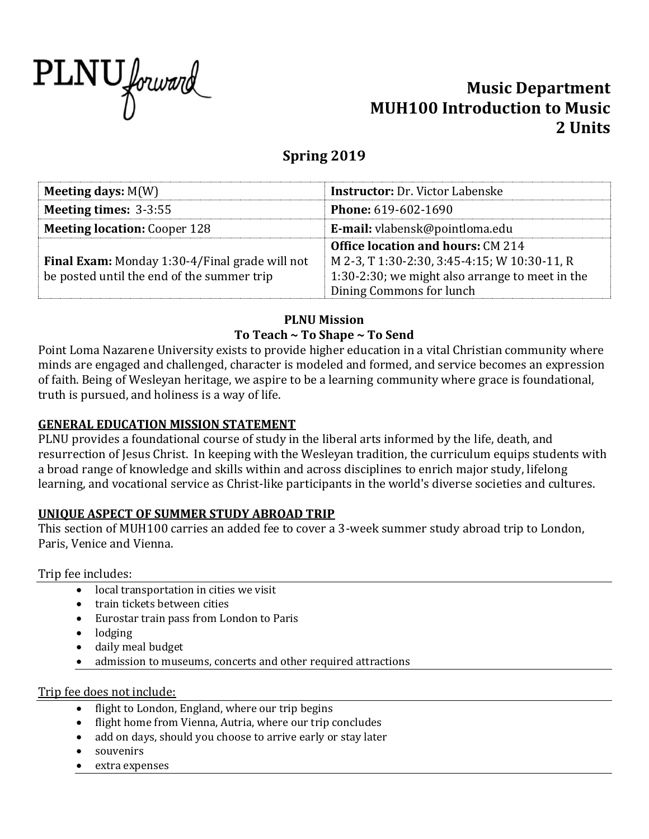

# **Music Department MUH100 Introduction to Music 2 Units**

# **Spring 2019**

| Meeting days: $M(W)$                                  | <b>Instructor: Dr. Victor Labenske</b>          |  |  |  |  |  |
|-------------------------------------------------------|-------------------------------------------------|--|--|--|--|--|
| <b>Meeting times: 3-3:55</b>                          | <b>Phone: 619-602-1690</b>                      |  |  |  |  |  |
| <b>Meeting location: Cooper 128</b>                   | <b>E-mail:</b> vlabensk@pointloma.edu           |  |  |  |  |  |
|                                                       | <b>Office location and hours: CM 214</b>        |  |  |  |  |  |
| <b>Final Exam:</b> Monday 1:30-4/Final grade will not | M 2-3, T 1:30-2:30, 3:45-4:15; W 10:30-11, R    |  |  |  |  |  |
| be posted until the end of the summer trip            | 1:30-2:30; we might also arrange to meet in the |  |  |  |  |  |
|                                                       | Dining Commons for lunch                        |  |  |  |  |  |

## **PLNU Mission To Teach ~ To Shape ~ To Send**

Point Loma Nazarene University exists to provide higher education in a vital Christian community where minds are engaged and challenged, character is modeled and formed, and service becomes an expression of faith. Being of Wesleyan heritage, we aspire to be a learning community where grace is foundational, truth is pursued, and holiness is a way of life.

## **GENERAL EDUCATION MISSION STATEMENT**

PLNU provides a foundational course of study in the liberal arts informed by the life, death, and resurrection of Jesus Christ. In keeping with the Wesleyan tradition, the curriculum equips students with a broad range of knowledge and skills within and across disciplines to enrich major study, lifelong learning, and vocational service as Christ-like participants in the world's diverse societies and cultures.

## **UNIQUE ASPECT OF SUMMER STUDY ABROAD TRIP**

This section of MUH100 carries an added fee to cover a 3-week summer study abroad trip to London, Paris, Venice and Vienna.

### Trip fee includes:

- local transportation in cities we visit
- train tickets between cities
- Eurostar train pass from London to Paris
- lodging
- daily meal budget
- admission to museums, concerts and other required attractions

### Trip fee does not include:

- flight to London, England, where our trip begins
- flight home from Vienna, Autria, where our trip concludes
- add on days, should you choose to arrive early or stay later
- souvenirs
- extra expenses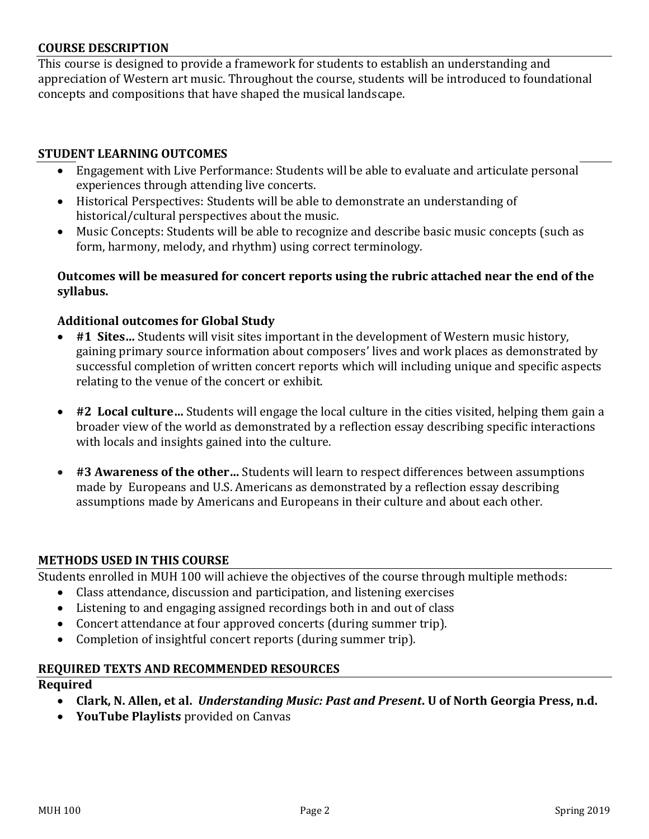#### **COURSE DESCRIPTION**

This course is designed to provide a framework for students to establish an understanding and appreciation of Western art music. Throughout the course, students will be introduced to foundational concepts and compositions that have shaped the musical landscape.

#### **STUDENT LEARNING OUTCOMES**

- Engagement with Live Performance: Students will be able to evaluate and articulate personal experiences through attending live concerts.
- Historical Perspectives: Students will be able to demonstrate an understanding of historical/cultural perspectives about the music.
- Music Concepts: Students will be able to recognize and describe basic music concepts (such as form, harmony, melody, and rhythm) using correct terminology.

#### **Outcomes will be measured for concert reports using the rubric attached near the end of the syllabus.**

### **Additional outcomes for Global Study**

- **#1 Sites…** Students will visit sites important in the development of Western music history, gaining primary source information about composers' lives and work places as demonstrated by successful completion of written concert reports which will including unique and specific aspects relating to the venue of the concert or exhibit.
- **#2 Local culture…** Students will engage the local culture in the cities visited, helping them gain a broader view of the world as demonstrated by a reflection essay describing specific interactions with locals and insights gained into the culture.
- **#3 Awareness of the other…** Students will learn to respect differences between assumptions made by Europeans and U.S. Americans as demonstrated by a reflection essay describing assumptions made by Americans and Europeans in their culture and about each other.

#### **METHODS USED IN THIS COURSE**

Students enrolled in MUH 100 will achieve the objectives of the course through multiple methods:

- Class attendance, discussion and participation, and listening exercises
- Listening to and engaging assigned recordings both in and out of class
- Concert attendance at four approved concerts (during summer trip).
- Completion of insightful concert reports (during summer trip).

#### **REQUIRED TEXTS AND RECOMMENDED RESOURCES**

#### **Required**

- **Clark, N. Allen, et al.** *Understanding Music: Past and Present***. U of North Georgia Press, n.d.**
- **YouTube Playlists** provided on Canvas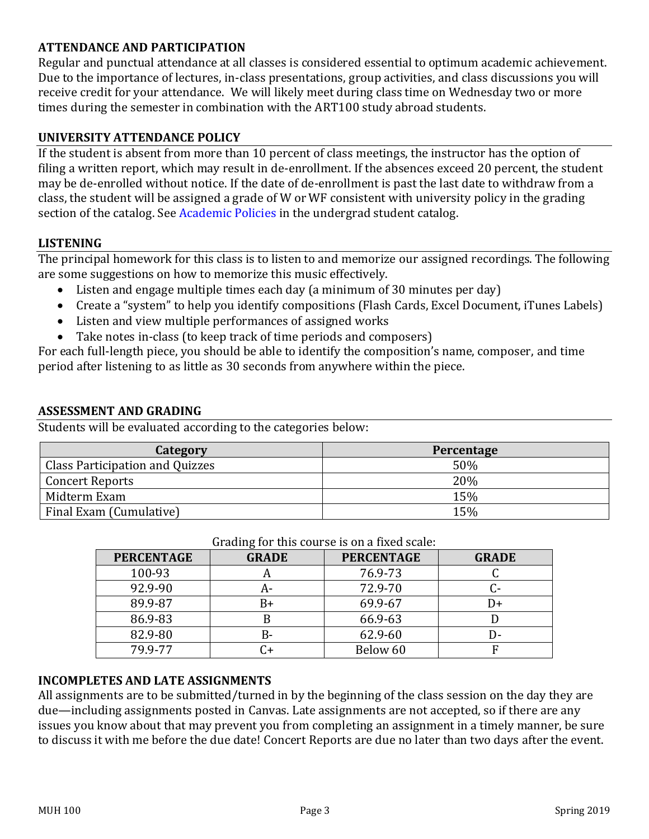## **ATTENDANCE AND PARTICIPATION**

Regular and punctual attendance at all classes is considered essential to optimum academic achievement. Due to the importance of lectures, in-class presentations, group activities, and class discussions you will receive credit for your attendance. We will likely meet during class time on Wednesday two or more times during the semester in combination with the ART100 study abroad students.

## **UNIVERSITY ATTENDANCE POLICY**

If the student is absent from more than 10 percent of class meetings, the instructor has the option of filing a written report, which may result in de-enrollment. If the absences exceed 20 percent, the student may be de-enrolled without notice. If the date of de‐enrollment is past the last date to withdraw from a class, the student will be assigned a grade of W or WF consistent with university policy in the grading section of the catalog. See Academic Policies in the undergrad student catalog.

### **LISTENING**

The principal homework for this class is to listen to and memorize our assigned recordings. The following are some suggestions on how to memorize this music effectively.

- Listen and engage multiple times each day (a minimum of 30 minutes per day)
- Create a "system" to help you identify compositions (Flash Cards, Excel Document, iTunes Labels)
- Listen and view multiple performances of assigned works
- Take notes in-class (to keep track of time periods and composers)

For each full-length piece, you should be able to identify the composition's name, composer, and time period after listening to as little as 30 seconds from anywhere within the piece.

#### **ASSESSMENT AND GRADING**

Students will be evaluated according to the categories below:

| <b>Category</b>                        | Percentage |
|----------------------------------------|------------|
| <b>Class Participation and Quizzes</b> | 50%        |
| <b>Concert Reports</b>                 | 20%        |
| Midterm Exam                           | 15%        |
| Final Exam (Cumulative)                | 15%        |

| <b>PERCENTAGE</b> | <b>GRADE</b> | <b>PERCENTAGE</b> | <b>GRADE</b> |  |  |  |  |
|-------------------|--------------|-------------------|--------------|--|--|--|--|
| 100-93            | n            | 76.9-73           |              |  |  |  |  |
| 92.9-90           | А-           | 72.9-70           |              |  |  |  |  |
| 89.9-87           | B+           | 69.9-67           |              |  |  |  |  |
| 86.9-83           |              | 66.9-63           |              |  |  |  |  |
| 82.9-80           | B-           | 62.9-60           |              |  |  |  |  |
| 79.9-77           |              | Below 60          |              |  |  |  |  |

#### Grading for this course is on a fixed scale:

#### **INCOMPLETES AND LATE ASSIGNMENTS**

All assignments are to be submitted/turned in by the beginning of the class session on the day they are due—including assignments posted in Canvas. Late assignments are not accepted, so if there are any issues you know about that may prevent you from completing an assignment in a timely manner, be sure to discuss it with me before the due date! Concert Reports are due no later than two days after the event.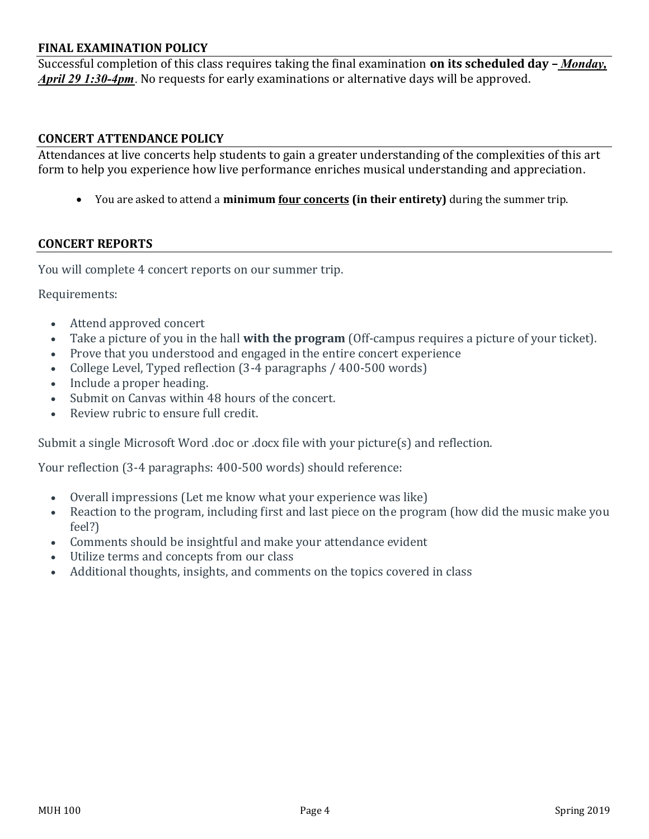#### **FINAL EXAMINATION POLICY**

Successful completion of this class requires taking the final examination **on its scheduled day –** *Monday, April 29 1:30-4pm*. No requests for early examinations or alternative days will be approved.

#### **CONCERT ATTENDANCE POLICY**

Attendances at live concerts help students to gain a greater understanding of the complexities of this art form to help you experience how live performance enriches musical understanding and appreciation.

• You are asked to attend a **minimum four concerts (in their entirety)** during the summer trip.

#### **CONCERT REPORTS**

You will complete 4 concert reports on our summer trip.

Requirements:

- Attend approved concert
- Take a picture of you in the hall **with the program** (Off-campus requires a picture of your ticket).
- Prove that you understood and engaged in the entire concert experience
- College Level, Typed reflection (3-4 paragraphs / 400-500 words)
- Include a proper heading.
- Submit on Canvas within 48 hours of the concert.
- Review rubric to ensure full credit.

Submit a single Microsoft Word .doc or .docx file with your picture(s) and reflection.

Your reflection (3-4 paragraphs: 400-500 words) should reference:

- Overall impressions (Let me know what your experience was like)
- Reaction to the program, including first and last piece on the program (how did the music make you feel?)
- Comments should be insightful and make your attendance evident
- Utilize terms and concepts from our class
- Additional thoughts, insights, and comments on the topics covered in class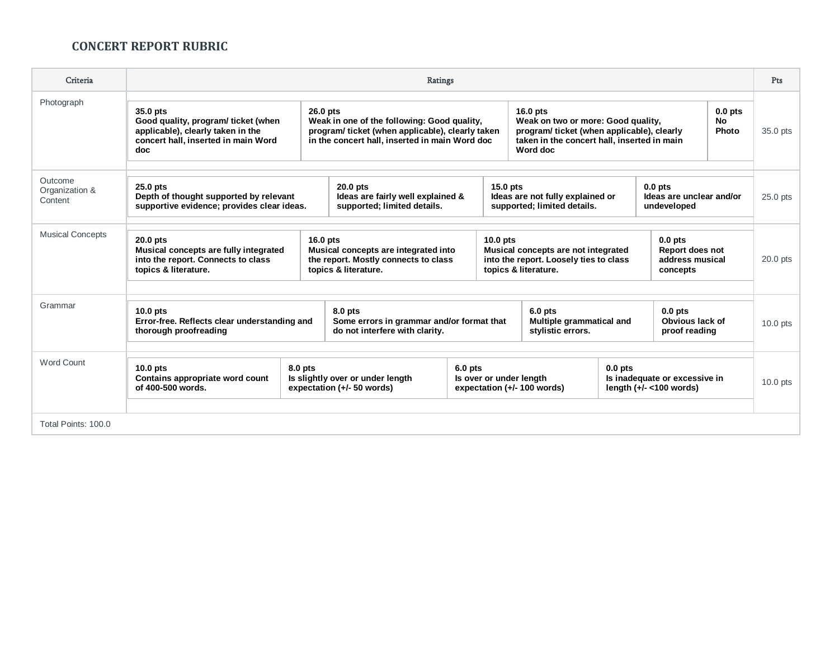## **CONCERT REPORT RUBRIC**

| Criteria                             | Ratings                                                                                                                                                                            |                                                                                                                                                                                                                                                                                                                          |                                                                |                                                                                                                                       |                                                            |           | Pts                                                         |            |            |  |
|--------------------------------------|------------------------------------------------------------------------------------------------------------------------------------------------------------------------------------|--------------------------------------------------------------------------------------------------------------------------------------------------------------------------------------------------------------------------------------------------------------------------------------------------------------------------|----------------------------------------------------------------|---------------------------------------------------------------------------------------------------------------------------------------|------------------------------------------------------------|-----------|-------------------------------------------------------------|------------|------------|--|
| Photograph                           | 35.0 pts<br>Good quality, program/ticket (when<br>applicable), clearly taken in the<br>concert hall, inserted in main Word<br>doc                                                  | 26.0 pts<br>$16.0$ pts<br>Weak in one of the following: Good quality,<br>Weak on two or more: Good quality,<br>program/ticket (when applicable), clearly taken<br>program/ticket (when applicable), clearly<br>in the concert hall, inserted in main Word doc<br>taken in the concert hall, inserted in main<br>Word doc |                                                                |                                                                                                                                       |                                                            |           | $0.0$ pts<br><b>No</b><br>Photo                             | 35.0 pts   |            |  |
| Outcome<br>Organization &<br>Content | $25.0$ pts<br>20.0 pts<br>Depth of thought supported by relevant<br>Ideas are fairly well explained &<br>supported; limited details.<br>supportive evidence; provides clear ideas. |                                                                                                                                                                                                                                                                                                                          |                                                                | $15.0$ pts<br>$0.0$ pts<br>Ideas are not fully explained or<br>Ideas are unclear and/or<br>supported; limited details.<br>undeveloped |                                                            |           |                                                             | $25.0$ pts |            |  |
| <b>Musical Concepts</b>              | 20.0 pts<br>Musical concepts are fully integrated<br>into the report. Connects to class<br>topics & literature.                                                                    | $16.0$ pts<br>$10.0$ pts<br>$0.0$ pts<br>Musical concepts are integrated into<br>Musical concepts are not integrated<br>Report does not<br>the report. Mostly connects to class<br>into the report. Loosely ties to class<br>address musical<br>topics & literature.<br>topics & literature.<br>concepts                 |                                                                |                                                                                                                                       |                                                            |           |                                                             | $20.0$ pts |            |  |
| Grammar                              | $10.0$ pts<br>Error-free. Reflects clear understanding and<br>thorough proofreading                                                                                                | 8.0 pts<br>Some errors in grammar and/or format that<br>do not interfere with clarity.                                                                                                                                                                                                                                   |                                                                |                                                                                                                                       | $6.0$ pts<br>Multiple grammatical and<br>stylistic errors. |           | $0.0$ pts<br>Obvious lack of<br>proof reading               |            | 10.0 pts   |  |
| <b>Word Count</b>                    | $10.0$ pts<br>Contains appropriate word count<br>of 400-500 words.                                                                                                                 | 8.0 pts                                                                                                                                                                                                                                                                                                                  | Is slightly over or under length<br>expectation (+/- 50 words) | $6.0$ pts<br>Is over or under length<br>expectation (+/- 100 words)                                                                   |                                                            | $0.0$ pts | Is inadequate or excessive in<br>length $(+/- < 100$ words) |            | $10.0$ pts |  |
| Total Points: 100.0                  |                                                                                                                                                                                    |                                                                                                                                                                                                                                                                                                                          |                                                                |                                                                                                                                       |                                                            |           |                                                             |            |            |  |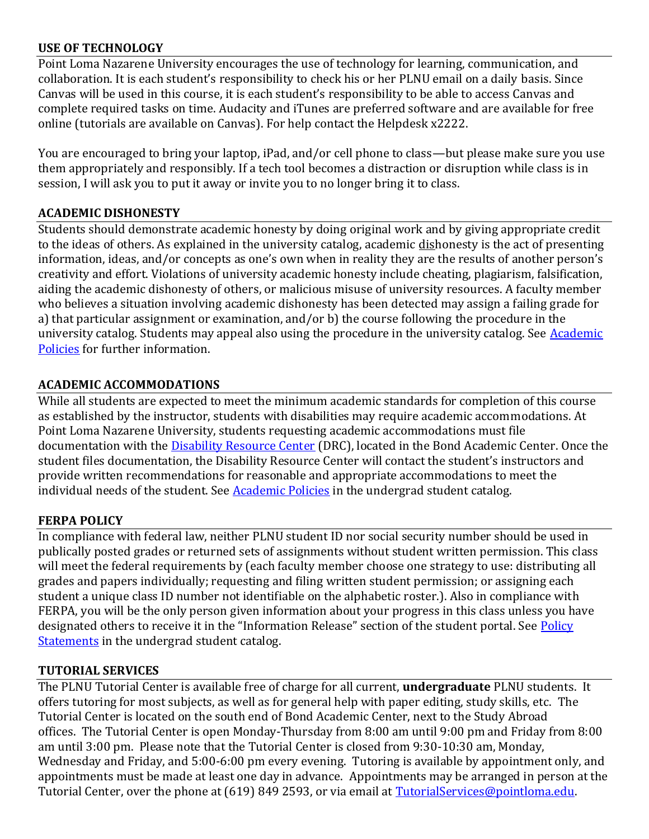## **USE OF TECHNOLOGY**

Point Loma Nazarene University encourages the use of technology for learning, communication, and collaboration. It is each student's responsibility to check his or her PLNU email on a daily basis. Since Canvas will be used in this course, it is each student's responsibility to be able to access Canvas and complete required tasks on time. Audacity and iTunes are preferred software and are available for free online (tutorials are available on Canvas). For help contact the Helpdesk x2222.

You are encouraged to bring your laptop, iPad, and/or cell phone to class—but please make sure you use them appropriately and responsibly. If a tech tool becomes a distraction or disruption while class is in session, I will ask you to put it away or invite you to no longer bring it to class.

## **ACADEMIC DISHONESTY**

Students should demonstrate academic honesty by doing original work and by giving appropriate credit to the ideas of others. As explained in the university catalog, academic dishonesty is the act of presenting information, ideas, and/or concepts as one's own when in reality they are the results of another person's creativity and effort. Violations of university academic honesty include cheating, plagiarism, falsification, aiding the academic dishonesty of others, or malicious misuse of university resources. A faculty member who believes a situation involving academic dishonesty has been detected may assign a failing grade for a) that particular assignment or examination, and/or b) the course following the procedure in the university catalog. Students may appeal also using the procedure in the university catalog. See [Academic](http://www.pointloma.edu/experience/academics/catalogs/undergraduate-catalog/point-loma-education/academic-policies)  [Policies](http://www.pointloma.edu/experience/academics/catalogs/undergraduate-catalog/point-loma-education/academic-policies) for further information.

## **ACADEMIC ACCOMMODATIONS**

While all students are expected to meet the minimum academic standards for completion of this course as established by the instructor, students with disabilities may require academic accommodations. At Point Loma Nazarene University, students requesting academic accommodations must file documentation with the **Disability Resource Center** (DRC), located in the Bond Academic Center. Once the student files documentation, the Disability Resource Center will contact the student's instructors and provide written recommendations for reasonable and appropriate accommodations to meet the individual needs of the student. See **Academic Policies** in the undergrad student catalog.

### **FERPA POLICY**

In compliance with federal law, neither PLNU student ID nor social security number should be used in publically posted grades or returned sets of assignments without student written permission. This class will meet the federal requirements by (each faculty member choose one strategy to use: distributing all grades and papers individually; requesting and filing written student permission; or assigning each student a unique class ID number not identifiable on the alphabetic roster.). Also in compliance with FERPA, you will be the only person given information about your progress in this class unless you have designated others to receive it in the "Information Release" section of the student portal. See Policy [Statements](http://www.pointloma.edu/experience/academics/catalogs/undergraduate-catalog/policy-statements) in the undergrad student catalog.

### **TUTORIAL SERVICES**

The PLNU Tutorial Center is available free of charge for all current, **undergraduate** PLNU students. It offers tutoring for most subjects, as well as for general help with paper editing, study skills, etc. The Tutorial Center is located on the south end of Bond Academic Center, next to the Study Abroad offices. The Tutorial Center is open Monday-Thursday from 8:00 am until 9:00 pm and Friday from 8:00 am until 3:00 pm. Please note that the Tutorial Center is closed from 9:30-10:30 am, Monday, Wednesday and Friday, and 5:00-6:00 pm every evening. Tutoring is available by appointment only, and appointments must be made at least one day in advance. Appointments may be arranged in person at the Tutorial Center, over the phone at (619) 849 2593, or via email at [TutorialServices@pointloma.edu.](mailto:TutorialServices@pointloma.edu)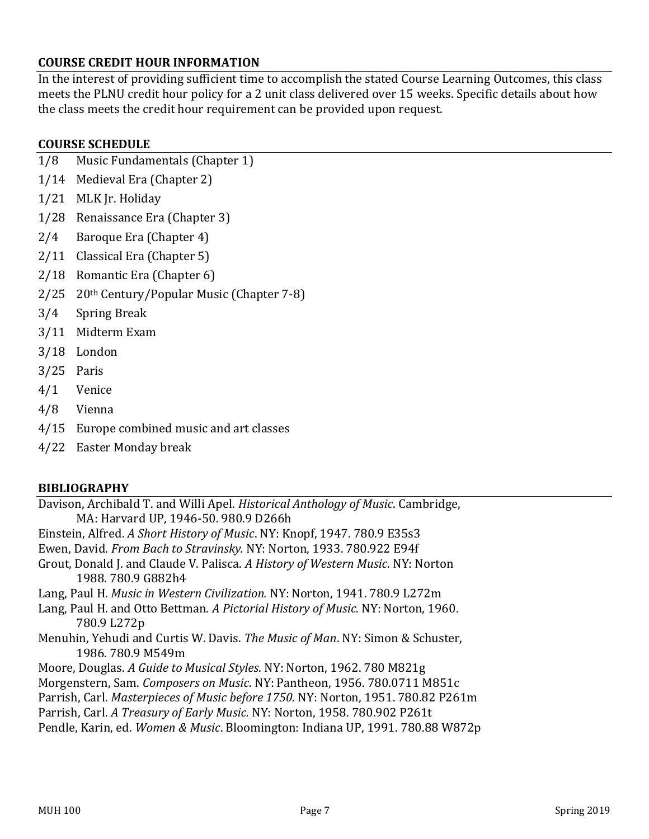## **COURSE CREDIT HOUR INFORMATION**

In the interest of providing sufficient time to accomplish the stated Course Learning Outcomes, this class meets the PLNU credit hour policy for a 2 unit class delivered over 15 weeks. Specific details about how the class meets the credit hour requirement can be provided upon request.

## **COURSE SCHEDULE**

- 1/8 Music Fundamentals (Chapter 1)
- 1/14 Medieval Era (Chapter 2)
- 1/21 MLK Jr. Holiday
- 1/28 Renaissance Era (Chapter 3)
- 2/4 Baroque Era (Chapter 4)
- 2/11 Classical Era (Chapter 5)
- 2/18 Romantic Era (Chapter 6)
- 2/25 20th Century/Popular Music (Chapter 7-8)
- 3/4 Spring Break
- 3/11 Midterm Exam
- 3/18 London
- 3/25 Paris
- 4/1 Venice
- 4/8 Vienna
- 4/15 Europe combined music and art classes
- 4/22 Easter Monday break

### **BIBLIOGRAPHY**

Davison, Archibald T. and Willi Apel. *Historical Anthology of Music*. Cambridge, MA: Harvard UP, 1946-50. 980.9 D266h Einstein, Alfred. *A Short History of Music*. NY: Knopf, 1947. 780.9 E35s3 Ewen, David. *From Bach to Stravinsky.* NY: Norton, 1933. 780.922 E94f Grout, Donald J. and Claude V. Palisca. *A History of Western Music*. NY: Norton 1988. 780.9 G882h4 Lang, Paul H. *Music in Western Civilization.* NY: Norton, 1941. 780.9 L272m Lang, Paul H. and Otto Bettman. *A Pictorial History of Music.* NY: Norton, 1960. 780.9 L272p Menuhin, Yehudi and Curtis W. Davis. *The Music of Man*. NY: Simon & Schuster, 1986. 780.9 M549m Moore, Douglas. *A Guide to Musical Styles*. NY: Norton, 1962. 780 M821g Morgenstern, Sam. *Composers on Music*. NY: Pantheon, 1956. 780.0711 M851c Parrish, Carl. *Masterpieces of Music before 1750*. NY: Norton, 1951. 780.82 P261m Parrish, Carl. *A Treasury of Early Music.* NY: Norton, 1958. 780.902 P261t Pendle, Karin, ed. *Women & Music*. Bloomington: Indiana UP, 1991. 780.88 W872p